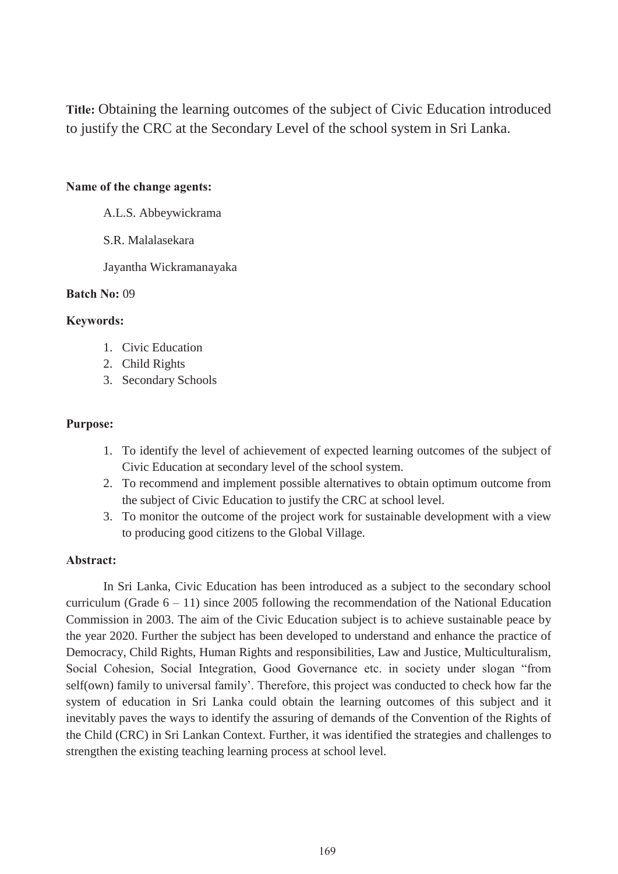**Title:** Obtaining the learning outcomes of the subject of Civic Education introduced to justify the CRC at the Secondary Level of the school system in Sri Lanka.

# **Name of the change agents:**

A.L.S. Abbeywickrama

S.R. Malalasekara

Jayantha Wickramanayaka

## **Batch No: 09**

## **Kevwords:**

- 1. Civic Education
- 2. Child Rights
- 3. Secondary Schools

#### **Purpose:**

- 1. To identify the level of achievement of expected learning outcomes of the subject of Civic Education at secondary level of the school system.
- 2. To recommend and implement possible alternatives to obtain optimum outcome from the subject of Civic Education to justify the CRC at school level.
- 3. To monitor the outcome of the project work for sustainable development with a view to producing good citizens to the Global Village.

#### Abstract:

In Sri Lanka, Civic Education has been introduced as a subject to the secondary school curriculum (Grade  $6 - 11$ ) since 2005 following the recommendation of the National Education Commission in 2003. The aim of the Civic Education subject is to achieve sustainable peace by the year 2020. Further the subject has been developed to understand and enhance the practice of Democracy, Child Rights, Human Rights and responsibilities, Law and Justice, Multiculturalism, Social Cohesion, Social Integration, Good Governance etc. in society under slogan "from self(own) family to universal family'. Therefore, this project was conducted to check how far the system of education in Sri Lanka could obtain the learning outcomes of this subject and it inevitably paves the ways to identify the assuring of demands of the Convention of the Rights of the Child (CRC) in Sri Lankan Context. Further, it was identified the strategies and challenges to strengthen the existing teaching learning process at school level.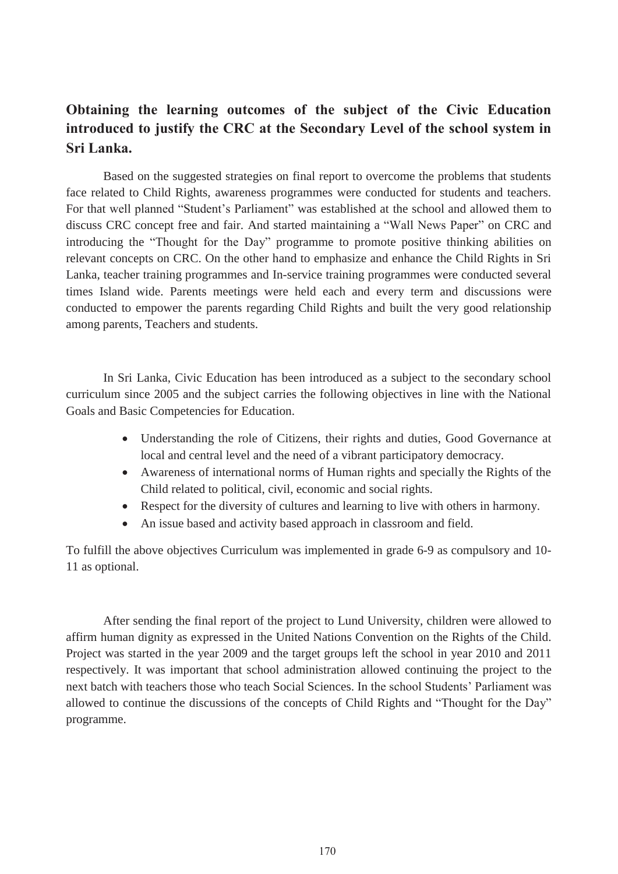# Obtaining the learning outcomes of the subject of the Civic Education introduced to justify the CRC at the Secondary Level of the school system in **Sri Lanka.**

Based on the suggested strategies on final report to overcome the problems that students face related to Child Rights, awareness programmes were conducted for students and teachers. For that well planned "Student's Parliament" was established at the school and allowed them to discuss CRC concept free and fair. And started maintaining a "Wall News Paper" on CRC and introducing the "Thought for the Day" programme to promote positive thinking abilities on relevant concepts on CRC. On the other hand to emphasize and enhance the Child Rights in Sri Lanka, teacher training programmes and In-service training programmes were conducted several times Island wide. Parents meetings were held each and every term and discussions were conducted to empower the parents regarding Child Rights and built the very good relationship among parents, Teachers and students.

 In Sri Lanka, Civic Education has been introduced as a subject to the secondary school curriculum since 2005 and the subject carries the following objectives in line with the National Goals and Basic Competencies for Education.

- Understanding the role of Citizens, their rights and duties, Good Governance at local and central level and the need of a vibrant participatory democracy.
- Awareness of international norms of Human rights and specially the Rights of the Child related to political, civil, economic and social rights.
- Respect for the diversity of cultures and learning to live with others in harmony.
- An issue based and activity based approach in classroom and field.

To fulfill the above objectives Curriculum was implemented in grade 6-9 as compulsory and 10- 11 as optional.

After sending the final report of the project to Lund University, children were allowed to affirm human dignity as expressed in the United Nations Convention on the Rights of the Child. Project was started in the year 2009 and the target groups left the school in year 2010 and 2011 respectively. It was important that school administration allowed continuing the project to the next batch with teachers those who teach Social Sciences. In the school Students' Parliament was allowed to continue the discussions of the concepts of Child Rights and "Thought for the Day" programme.